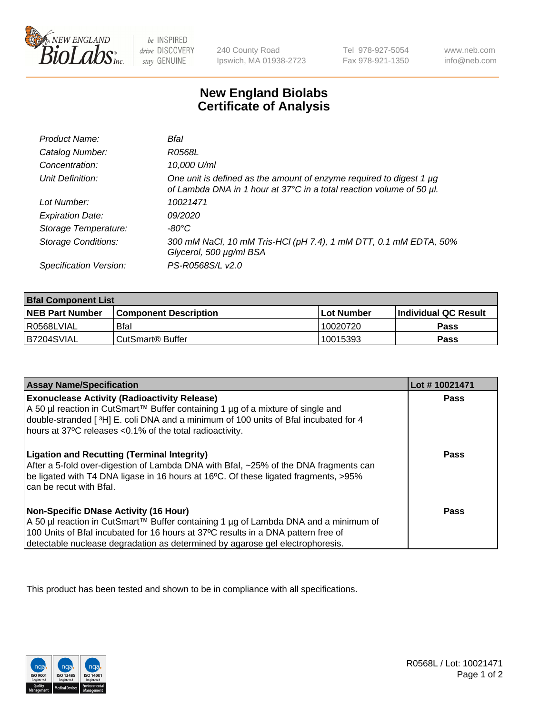

 $be$  INSPIRED drive DISCOVERY stay GENUINE

240 County Road Ipswich, MA 01938-2723 Tel 978-927-5054 Fax 978-921-1350 www.neb.com info@neb.com

## **New England Biolabs Certificate of Analysis**

| Product Name:              | Bfal                                                                                                                                             |
|----------------------------|--------------------------------------------------------------------------------------------------------------------------------------------------|
| Catalog Number:            | R0568L                                                                                                                                           |
| Concentration:             | 10,000 U/ml                                                                                                                                      |
| Unit Definition:           | One unit is defined as the amount of enzyme required to digest 1 $\mu$ g<br>of Lambda DNA in 1 hour at 37°C in a total reaction volume of 50 µl. |
| Lot Number:                | 10021471                                                                                                                                         |
| <b>Expiration Date:</b>    | 09/2020                                                                                                                                          |
| Storage Temperature:       | -80°C                                                                                                                                            |
| <b>Storage Conditions:</b> | 300 mM NaCl, 10 mM Tris-HCl (pH 7.4), 1 mM DTT, 0.1 mM EDTA, 50%<br>Glycerol, 500 µg/ml BSA                                                      |
| Specification Version:     | PS-R0568S/L v2.0                                                                                                                                 |

| <b>Bfal Component List</b> |                              |              |                             |  |
|----------------------------|------------------------------|--------------|-----------------------------|--|
| <b>NEB Part Number</b>     | <b>Component Description</b> | l Lot Number | <b>Individual QC Result</b> |  |
| l R0568LVIAL               | <b>Bfal</b>                  | 10020720     | Pass                        |  |
| B7204SVIAL                 | l CutSmart® Buffer           | 10015393     | Pass                        |  |

| <b>Assay Name/Specification</b>                                                                                                                                                                                                                                                                           | Lot #10021471 |
|-----------------------------------------------------------------------------------------------------------------------------------------------------------------------------------------------------------------------------------------------------------------------------------------------------------|---------------|
| <b>Exonuclease Activity (Radioactivity Release)</b><br>A 50 µl reaction in CutSmart™ Buffer containing 1 µg of a mixture of single and<br>double-stranded [3H] E. coli DNA and a minimum of 100 units of Bfal incubated for 4<br>hours at 37°C releases <0.1% of the total radioactivity.                 | Pass          |
| <b>Ligation and Recutting (Terminal Integrity)</b><br>After a 5-fold over-digestion of Lambda DNA with Bfal, ~25% of the DNA fragments can<br>be ligated with T4 DNA ligase in 16 hours at 16°C. Of these ligated fragments, >95%<br>can be recut with Bfal.                                              | Pass          |
| <b>Non-Specific DNase Activity (16 Hour)</b><br>A 50 µl reaction in CutSmart™ Buffer containing 1 µg of Lambda DNA and a minimum of<br>100 Units of Bfal incubated for 16 hours at 37°C results in a DNA pattern free of<br>detectable nuclease degradation as determined by agarose gel electrophoresis. | Pass          |

This product has been tested and shown to be in compliance with all specifications.